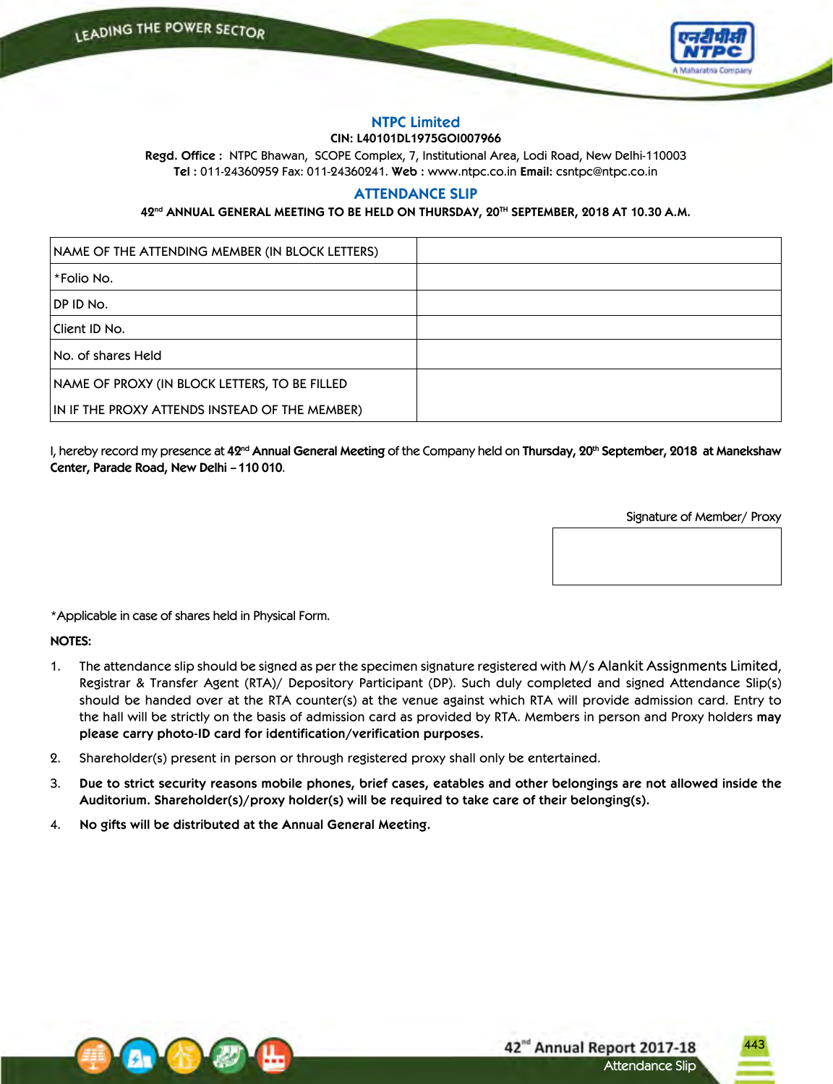

# **NTPC Limited**

# **CIN: L40101DL1975GOI007966**

**Regd. Office :** NTPC Bhawan, SCOPE Complex, 7, Institutional Area, Lodi Road, New Delhi-110003 **Tel :** 011-24360959 Fax: 011-24360241. **Web :** www.ntpc.co.in **Email:** csntpc@ntpc.co.in

# **ATTENDANCE SLIP**

# **42nd ANNUAL GENERAL MEETING TO BE HELD ON THURSDAY, 20TH SEPTEMBER, 2018 AT 10.30 A.M.**

| NAME OF THE ATTENDING MEMBER (IN BLOCK LETTERS) |  |
|-------------------------------------------------|--|
| l *Folio No.                                    |  |
| DP ID No.                                       |  |
| Client ID No.                                   |  |
| No. of shares Held                              |  |
| NAME OF PROXY (IN BLOCK LETTERS, TO BE FILLED   |  |
| IN IF THE PROXY ATTENDS INSTEAD OF THE MEMBER)  |  |

I, hereby record my presence at **42nd Annual General Meeting** of the Company held on **Thursday, 20th September, 2018 at Manekshaw Center, Parade Road, New Delhi – 110 010**.

Signature of Member/ Proxy

\*Applicable in case of shares held in Physical Form.

**NOTES:**

- 1. The attendance slip should be signed as per the specimen signature registered with M/s Alankit Assignments Limited, Registrar & Transfer Agent (RTA)/ Depository Participant (DP). Such duly completed and signed Attendance Slip(s) should be handed over at the RTA counter(s) at the venue against which RTA will provide admission card. Entry to the hall will be strictly on the basis of admission card as provided by RTA. Members in person and Proxy holders **may please carry photo-ID card for identification/verification purposes.**
- 2. Shareholder(s) present in person or through registered proxy shall only be entertained.
- 3. Due to strict security reasons mobile phones, brief cases, eatables and other belongings are not allowed inside the **Auditorium. Shareholder(s)/proxy holder(s) will be required to take care of their belonging(s).**
- 4. **No gifts will be distributed at the Annual General Meeting.**

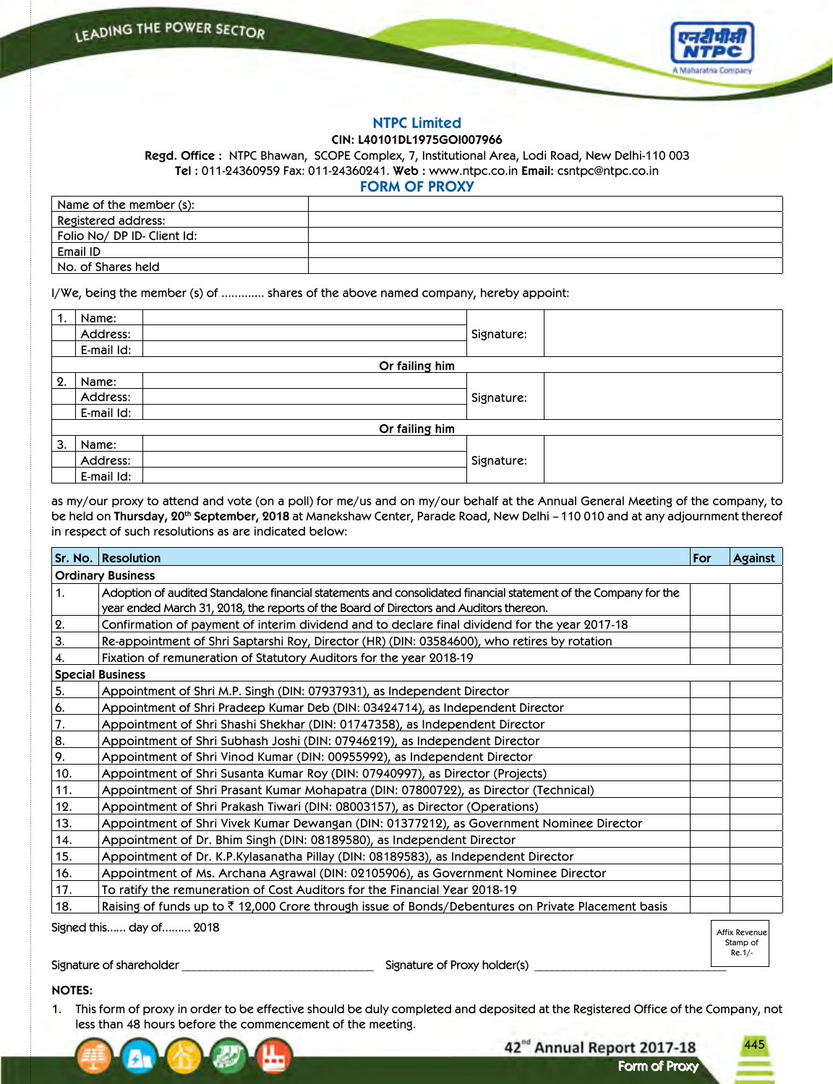

445

Stamp of Re.1/-

Form of Proxy Form of Proxy

42<sup>nd</sup> Annual Report 2017-18

# **NTPC Limited**

# **CIN: L40101DL1975GOI007966**

**Regd. Office :** NTPC Bhawan, SCOPE Complex, 7, Institutional Area, Lodi Road, New Delhi-110 003 **Tel :** 011-24360959 Fax: 011-24360241. **Web :** www.ntpc.co.in **Email:** csntpc@ntpc.co.in

**FORM OF PROXY**

| Name of the member (s):  |  |
|--------------------------|--|
| Registered address:      |  |
| Folio No/DPID-Client Id: |  |
| Email ID                 |  |
| No. of Shares held       |  |

I/We, being the member (s) of …………. shares of the above named company, hereby appoint:

| $^{\circ}$ 1. | Name:      |                |            |  |
|---------------|------------|----------------|------------|--|
|               | Address:   |                | Signature: |  |
|               | E-mail Id: |                |            |  |
|               |            | Or failing him |            |  |
| 2.            | Name:      |                |            |  |
|               | Address:   |                | Signature: |  |
|               | E-mail Id: |                |            |  |
|               |            | Or failing him |            |  |
| 3.            | Name:      |                |            |  |
|               | Address:   |                | Signature: |  |
|               | E-mail Id: |                |            |  |

as my/our proxy to attend and vote (on a poll) for me/us and on my/our behalf at the Annual General Meeting of the company, to be held on **Thursday, 20th September, 2018** at Manekshaw Center, Parade Road, New Delhi – 110 010 and at any adjournment thereof in respect of such resolutions as are indicated below:

|                          | Sr. No. Resolution                                                                                                                                                                                        | For | <b>Against</b> |  |
|--------------------------|-----------------------------------------------------------------------------------------------------------------------------------------------------------------------------------------------------------|-----|----------------|--|
| <b>Ordinary Business</b> |                                                                                                                                                                                                           |     |                |  |
| 1.                       | Adoption of audited Standalone financial statements and consolidated financial statement of the Company for the<br>year ended March 31, 2018, the reports of the Board of Directors and Auditors thereon. |     |                |  |
| 2.                       | Confirmation of payment of interim dividend and to declare final dividend for the year 2017-18                                                                                                            |     |                |  |
| 3.                       | Re-appointment of Shri Saptarshi Roy, Director (HR) (DIN: 03584600), who retires by rotation                                                                                                              |     |                |  |
| 4.                       | Fixation of remuneration of Statutory Auditors for the year 2018-19                                                                                                                                       |     |                |  |
|                          | <b>Special Business</b>                                                                                                                                                                                   |     |                |  |
| 5.                       | Appointment of Shri M.P. Singh (DIN: 07937931), as Independent Director                                                                                                                                   |     |                |  |
| 6.                       | Appointment of Shri Pradeep Kumar Deb (DIN: 03424714), as Independent Director                                                                                                                            |     |                |  |
| 7.                       | Appointment of Shri Shashi Shekhar (DIN: 01747358), as Independent Director                                                                                                                               |     |                |  |
| 8.                       | Appointment of Shri Subhash Joshi (DIN: 07946219), as Independent Director                                                                                                                                |     |                |  |
| 9.                       | Appointment of Shri Vinod Kumar (DIN: 00955992), as Independent Director                                                                                                                                  |     |                |  |
| 10.                      | Appointment of Shri Susanta Kumar Roy (DIN: 07940997), as Director (Projects)                                                                                                                             |     |                |  |
| 11.                      | Appointment of Shri Prasant Kumar Mohapatra (DIN: 07800722), as Director (Technical)                                                                                                                      |     |                |  |
| 12.                      | Appointment of Shri Prakash Tiwari (DIN: 08003157), as Director (Operations)                                                                                                                              |     |                |  |
| 13.                      | Appointment of Shri Vivek Kumar Dewangan (DIN: 01377212), as Government Nominee Director                                                                                                                  |     |                |  |
| 14.                      | Appointment of Dr. Bhim Singh (DIN: 08189580), as Independent Director                                                                                                                                    |     |                |  |
| 15.                      | Appointment of Dr. K.P.Kylasanatha Pillay (DIN: 08189583), as Independent Director                                                                                                                        |     |                |  |
| 16.                      | Appointment of Ms. Archana Agrawal (DIN: 02105906), as Government Nominee Director                                                                                                                        |     |                |  |
| 17.                      | To ratify the remuneration of Cost Auditors for the Financial Year 2018-19                                                                                                                                |     |                |  |
| 18.                      | Raising of funds up to $\bar{\tau}$ 12,000 Crore through issue of Bonds/Debentures on Private Placement basis                                                                                             |     |                |  |
|                          | Signed this day of 2018                                                                                                                                                                                   |     | Affix Revenue  |  |

Signature of shareholder \_\_\_\_\_\_\_\_\_\_\_\_\_\_\_\_\_\_\_\_\_\_\_\_\_\_\_\_\_\_\_\_\_ Signature of Proxy holder(s) \_\_\_\_\_\_\_\_\_\_\_\_\_\_\_\_\_\_\_\_\_\_\_\_\_\_\_\_\_\_\_\_\_

## **NOTES:**

1. This form of proxy in order to be effective should be duly completed and deposited at the Registered Office of the Company, not less than 48 hours before the commencement of the meeting.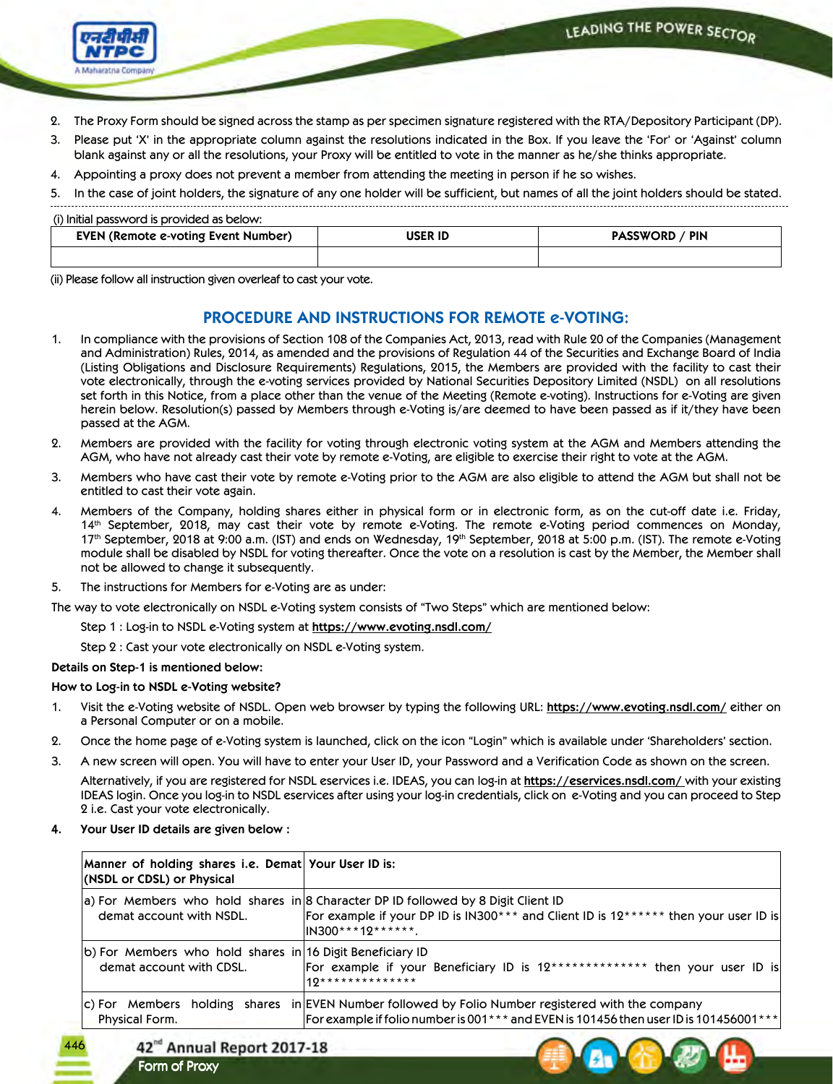

- 2. The Proxy Form should be signed across the stamp as per specimen signature registered with the RTA/Depository Participant (DP).
- 3. Please put 'X' in the appropriate column against the resolutions indicated in the Box. If you leave the 'For' or 'Against' column blank against any or all the resolutions, your Proxy will be entitled to vote in the manner as he/she thinks appropriate.
- 4. Appointing a proxy does not prevent a member from attending the meeting in person if he so wishes.
- 5. In the case of joint holders, the signature of any one holder will be sufficient, but names of all the joint holders should be stated.

#### (i) Initial password is provided as below:

| U initial password is provided as ocloty.<br>EVEN (Remote e-voting Event Number) | <b>USER ID</b> | <b>PASSWORD / PIN</b> |
|----------------------------------------------------------------------------------|----------------|-----------------------|
|                                                                                  |                |                       |

(ii) Please follow all instruction given overleaf to cast your vote.

# **PROCEDURE AND INSTRUCTIONS FOR REMOTE e-VOTING:**

- 1. In compliance with the provisions of Section 108 of the Companies Act, 2013, read with Rule 20 of the Companies (Management and Administration) Rules, 2014, as amended and the provisions of Regulation 44 of the Securities and Exchange Board of India (Listing Obligations and Disclosure Requirements) Regulations, 2015, the Members are provided with the facility to cast their vote electronically, through the e-voting services provided by National Securities Depository Limited (NSDL) on all resolutions set forth in this Notice, from a place other than the venue of the Meeting (Remote e-voting). Instructions for e-Voting are given herein below. Resolution(s) passed by Members through e-Voting is/are deemed to have been passed as if it/they have been passed at the AGM.
- 2. Members are provided with the facility for voting through electronic voting system at the AGM and Members attending the AGM, who have not already cast their vote by remote e-Voting, are eligible to exercise their right to vote at the AGM.
- 3. Members who have cast their vote by remote e-Voting prior to the AGM are also eligible to attend the AGM but shall not be entitled to cast their vote again.
- 4. Members of the Company, holding shares either in physical form or in electronic form, as on the cut-off date i.e. Friday, 14th September, 2018, may cast their vote by remote e-Voting. The remote e-Voting period commences on Monday, 17<sup>th</sup> September, 2018 at 9:00 a.m. (IST) and ends on Wednesday, 19<sup>th</sup> September, 2018 at 5:00 p.m. (IST). The remote e-Voting module shall be disabled by NSDL for voting thereafter. Once the vote on a resolution is cast by the Member, the Member shall not be allowed to change it subsequently.
- 5. The instructions for Members for e-Voting are as under:
- The way to vote electronically on NSDL e-Voting system consists of "Two Steps" which are mentioned below:
	- Step 1 : Log-in to NSDL e-Voting system at **https://www.evoting.nsdl.com/**

Step 2 : Cast your vote electronically on NSDL e-Voting system.

## **Details on Step-1 is mentioned below:**

## **How to Log-in to NSDL e-Voting website?**

- 1. Visit the e-Voting website of NSDL. Open web browser by typing the following URL: **https://www.evoting.nsdl.com/** either on a Personal Computer or on a mobile.
- 2. Once the home page of e-Voting system is launched, click on the icon "Login" which is available under 'Shareholders' section.
- 3. A new screen will open. You will have to enter your User ID, your Password and a Verification Code as shown on the screen.

 Alternatively, if you are registered for NSDL eservices i.e. IDEAS, you can log-in at **https://eservices.nsdl.com/** with your existing IDEAS login. Once you log-in to NSDL eservices after using your log-in credentials, click on e-Voting and you can proceed to Step 2 i.e. Cast your vote electronically.

**4. Your User ID details are given below :**

| Manner of holding shares i.e. Demat Your User ID is:<br>(NSDL or CDSL) or Physical    |                                                                                                                                                                                                      |
|---------------------------------------------------------------------------------------|------------------------------------------------------------------------------------------------------------------------------------------------------------------------------------------------------|
| demat account with NSDL.                                                              | $ a $ For Members who hold shares in 8 Character DP ID followed by 8 Digit Client ID<br>For example if your DP ID is IN300*** and Client ID is $12******$ then your user ID is<br>IIN300***12******. |
| b) For Members who hold shares in 16 Digit Beneficiary ID<br>demat account with CDSL. | For example if your Beneficiary ID is 12************** then your user ID is<br>$10*******************$                                                                                               |
| Physical Form.                                                                        | $ c\rangle$ For Members holding shares in EVEN Number followed by Folio Number registered with the company<br> For example if folio number is 001*** and EVEN is 101456 then user ID is 101456001*** |

42<sup>nd</sup> Annual Report 2017-18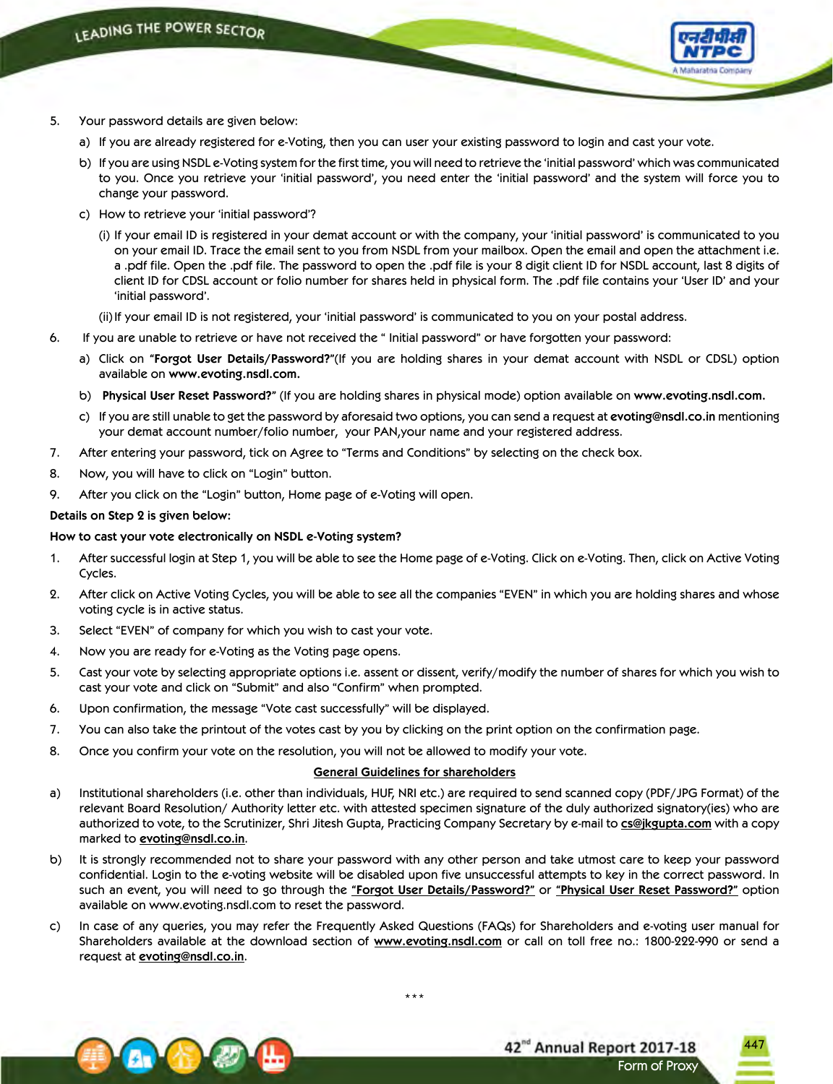

- 5. Your password details are given below:
	- a) If you are already registered for e-Voting, then you can user your existing password to login and cast your vote.
	- b) If you are using NSDL e-Voting system for the first time, you will need to retrieve the 'initial password' which was communicated to you. Once you retrieve your 'initial password', you need enter the 'initial password' and the system will force you to change your password.
	- c) How to retrieve your 'initial password'?
		- (i) If your email ID is registered in your demat account or with the company, your 'initial password' is communicated to you on your email ID. Trace the email sent to you from NSDL from your mailbox. Open the email and open the attachment i.e. a .pdf file. Open the .pdf file. The password to open the .pdf file is your 8 digit client ID for NSDL account, last 8 digits of client ID for CDSL account or folio number for shares held in physical form. The .pdf file contains your 'User ID' and your 'initial password'.
		- (ii) If your email ID is not registered, your 'initial password' is communicated to you on your postal address.
- 6. If you are unable to retrieve or have not received the " Initial password" or have forgotten your password:
	- a) Click on **"Forgot User Details/Password?"**(If you are holding shares in your demat account with NSDL or CDSL) option available on **www.evoting.nsdl.com.**
	- b) **Physical User Reset Password?"** (If you are holding shares in physical mode) option available on **www.evoting.nsdl.com.**
	- c) If you are still unable to get the password by aforesaid two options, you can send a request at **evoting@nsdl.co.in** mentioning your demat account number/folio number, your PAN,your name and your registered address.
- 7. After entering your password, tick on Agree to "Terms and Conditions" by selecting on the check box.
- 8. Now, you will have to click on "Login" button.
- 9. After you click on the "Login" button, Home page of e-Voting will open.

### **Details on Step 2 is given below:**

### **How to cast your vote electronically on NSDL e-Voting system?**

- 1. After successful login at Step 1, you will be able to see the Home page of e-Voting. Click on e-Voting. Then, click on Active Voting Cycles.
- 2. After click on Active Voting Cycles, you will be able to see all the companies "EVEN" in which you are holding shares and whose voting cycle is in active status.
- 3. Select "EVEN" of company for which you wish to cast your vote.
- 4. Now you are ready for e-Voting as the Voting page opens.
- 5. Cast your vote by selecting appropriate options i.e. assent or dissent, verify/modify the number of shares for which you wish to cast your vote and click on "Submit" and also "Confirm" when prompted.
- 6. Upon confirmation, the message "Vote cast successfully" will be displayed.
- 7. You can also take the printout of the votes cast by you by clicking on the print option on the confirmation page.
- 8. Once you confirm your vote on the resolution, you will not be allowed to modify your vote.

## **General Guidelines for shareholders**

- a) Institutional shareholders (i.e. other than individuals, HUF, NRI etc.) are required to send scanned copy (PDF/JPG Format) of the relevant Board Resolution/ Authority letter etc. with attested specimen signature of the duly authorized signatory(ies) who are authorized to vote, to the Scrutinizer, Shri Jitesh Gupta, Practicing Company Secretary by e-mail to **cs@jkgupta.com** with a copy marked to **evoting@nsdl.co.in**.
- b) It is strongly recommended not to share your password with any other person and take utmost care to keep your password confidential. Login to the e-voting website will be disabled upon five unsuccessful attempts to key in the correct password. In such an event, you will need to go through the **"Forgot User Details/Password?"** or **"Physical User Reset Password?"** option available on www.evoting.nsdl.com to reset the password.
- c) In case of any queries, you may refer the Frequently Asked Questions (FAQs) for Shareholders and e-voting user manual for Shareholders available at the download section of **www.evoting.nsdl.com** or call on toll free no.: 1800-222-990 or send a request at **evoting@nsdl.co.in**.



42<sup>nd</sup> Annual Report 2017-18 Form of Proxy